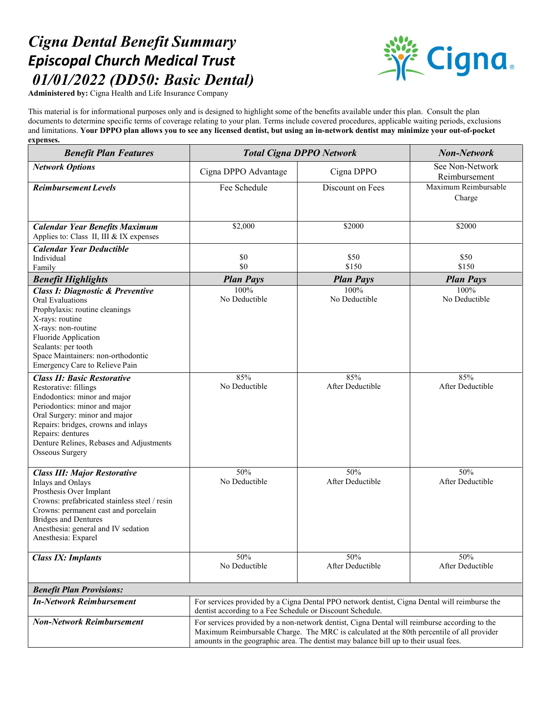## *Cigna Dental Benefit Summary Episcopal Church Medical Trust 01/01/2022 (DD50: Basic Dental)*



**Administered by:** Cigna Health and Life Insurance Company

This material is for informational purposes only and is designed to highlight some of the benefits available under this plan. Consult the plan documents to determine specific terms of coverage relating to your plan. Terms include covered procedures, applicable waiting periods, exclusions and limitations. **Your DPPO plan allows you to see any licensed dentist, but using an in-network dentist may minimize your out-of-pocket expenses.**

| <b>Benefit Plan Features</b>                                                                                                                                                                                                                                                                    | <b>Total Cigna DPPO Network</b>                                                                                                                                                                                                                                                   |                         | <b>Non-Network</b>               |
|-------------------------------------------------------------------------------------------------------------------------------------------------------------------------------------------------------------------------------------------------------------------------------------------------|-----------------------------------------------------------------------------------------------------------------------------------------------------------------------------------------------------------------------------------------------------------------------------------|-------------------------|----------------------------------|
| <b>Network Options</b>                                                                                                                                                                                                                                                                          | Cigna DPPO Advantage                                                                                                                                                                                                                                                              | Cigna DPPO              | See Non-Network<br>Reimbursement |
| <b>Reimbursement Levels</b>                                                                                                                                                                                                                                                                     | Fee Schedule                                                                                                                                                                                                                                                                      | Discount on Fees        | Maximum Reimbursable<br>Charge   |
| <b>Calendar Year Benefits Maximum</b><br>Applies to: Class II, III & IX expenses                                                                                                                                                                                                                | \$2,000                                                                                                                                                                                                                                                                           | \$2000                  | \$2000                           |
| <b>Calendar Year Deductible</b><br>Individual<br>Family                                                                                                                                                                                                                                         | \$0<br>\$0                                                                                                                                                                                                                                                                        | \$50<br>\$150           | \$50<br>\$150                    |
| <b>Benefit Highlights</b>                                                                                                                                                                                                                                                                       | <b>Plan Pays</b>                                                                                                                                                                                                                                                                  | <b>Plan Pays</b>        | <b>Plan Pays</b>                 |
| <b>Class I: Diagnostic &amp; Preventive</b><br><b>Oral Evaluations</b><br>Prophylaxis: routine cleanings<br>X-rays: routine<br>X-rays: non-routine<br>Fluoride Application<br>Sealants: per tooth<br>Space Maintainers: non-orthodontic<br>Emergency Care to Relieve Pain                       | 100%<br>No Deductible                                                                                                                                                                                                                                                             | 100%<br>No Deductible   | 100%<br>No Deductible            |
| <b>Class II: Basic Restorative</b><br>Restorative: fillings<br>Endodontics: minor and major<br>Periodontics: minor and major<br>Oral Surgery: minor and major<br>Repairs: bridges, crowns and inlays<br>Repairs: dentures<br>Denture Relines, Rebases and Adjustments<br><b>Osseous Surgery</b> | 85%<br>No Deductible                                                                                                                                                                                                                                                              | 85%<br>After Deductible | 85%<br>After Deductible          |
| <b>Class III: Major Restorative</b><br>Inlays and Onlays<br>Prosthesis Over Implant<br>Crowns: prefabricated stainless steel / resin<br>Crowns: permanent cast and porcelain<br><b>Bridges and Dentures</b><br>Anesthesia: general and IV sedation<br>Anesthesia: Exparel                       | 50%<br>No Deductible                                                                                                                                                                                                                                                              | 50%<br>After Deductible | 50%<br>After Deductible          |
| <b>Class IX: Implants</b>                                                                                                                                                                                                                                                                       | 50%<br>No Deductible                                                                                                                                                                                                                                                              | 50%<br>After Deductible | 50%<br>After Deductible          |
| <b>Benefit Plan Provisions:</b>                                                                                                                                                                                                                                                                 |                                                                                                                                                                                                                                                                                   |                         |                                  |
| <b>In-Network Reimbursement</b>                                                                                                                                                                                                                                                                 | For services provided by a Cigna Dental PPO network dentist, Cigna Dental will reimburse the<br>dentist according to a Fee Schedule or Discount Schedule.                                                                                                                         |                         |                                  |
| <b>Non-Network Reimbursement</b>                                                                                                                                                                                                                                                                | For services provided by a non-network dentist, Cigna Dental will reimburse according to the<br>Maximum Reimbursable Charge. The MRC is calculated at the 80th percentile of all provider<br>amounts in the geographic area. The dentist may balance bill up to their usual fees. |                         |                                  |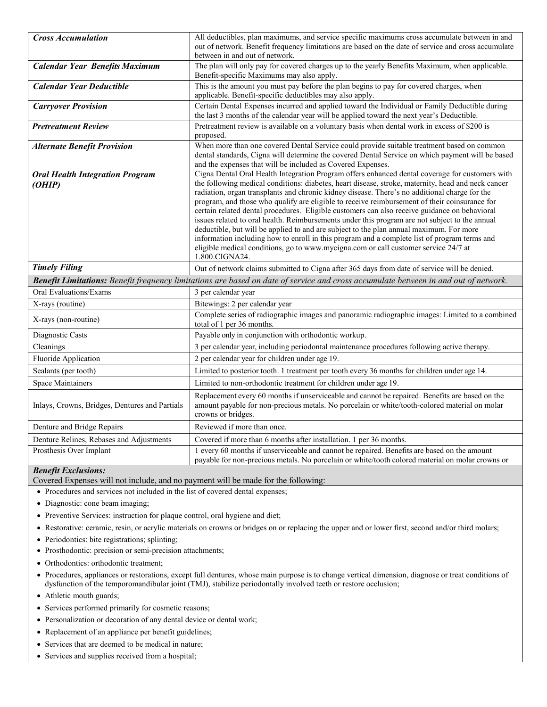| <b>Cross Accumulation</b>                                                                                                           | All deductibles, plan maximums, and service specific maximums cross accumulate between in and                                                                                                                                                                                                                                                                                                                                                                                                                                                                                                                                                                                                                                                                                                                                                                                                                  |  |
|-------------------------------------------------------------------------------------------------------------------------------------|----------------------------------------------------------------------------------------------------------------------------------------------------------------------------------------------------------------------------------------------------------------------------------------------------------------------------------------------------------------------------------------------------------------------------------------------------------------------------------------------------------------------------------------------------------------------------------------------------------------------------------------------------------------------------------------------------------------------------------------------------------------------------------------------------------------------------------------------------------------------------------------------------------------|--|
|                                                                                                                                     | out of network. Benefit frequency limitations are based on the date of service and cross accumulate                                                                                                                                                                                                                                                                                                                                                                                                                                                                                                                                                                                                                                                                                                                                                                                                            |  |
|                                                                                                                                     | between in and out of network.                                                                                                                                                                                                                                                                                                                                                                                                                                                                                                                                                                                                                                                                                                                                                                                                                                                                                 |  |
| <b>Calendar Year Benefits Maximum</b>                                                                                               | The plan will only pay for covered charges up to the yearly Benefits Maximum, when applicable.<br>Benefit-specific Maximums may also apply.                                                                                                                                                                                                                                                                                                                                                                                                                                                                                                                                                                                                                                                                                                                                                                    |  |
| <b>Calendar Year Deductible</b>                                                                                                     | This is the amount you must pay before the plan begins to pay for covered charges, when                                                                                                                                                                                                                                                                                                                                                                                                                                                                                                                                                                                                                                                                                                                                                                                                                        |  |
|                                                                                                                                     | applicable. Benefit-specific deductibles may also apply.                                                                                                                                                                                                                                                                                                                                                                                                                                                                                                                                                                                                                                                                                                                                                                                                                                                       |  |
| <b>Carryover Provision</b>                                                                                                          | Certain Dental Expenses incurred and applied toward the Individual or Family Deductible during<br>the last 3 months of the calendar year will be applied toward the next year's Deductible.                                                                                                                                                                                                                                                                                                                                                                                                                                                                                                                                                                                                                                                                                                                    |  |
| <b>Pretreatment Review</b>                                                                                                          | Pretreatment review is available on a voluntary basis when dental work in excess of \$200 is<br>proposed.                                                                                                                                                                                                                                                                                                                                                                                                                                                                                                                                                                                                                                                                                                                                                                                                      |  |
| <b>Alternate Benefit Provision</b>                                                                                                  | When more than one covered Dental Service could provide suitable treatment based on common                                                                                                                                                                                                                                                                                                                                                                                                                                                                                                                                                                                                                                                                                                                                                                                                                     |  |
|                                                                                                                                     | dental standards, Cigna will determine the covered Dental Service on which payment will be based<br>and the expenses that will be included as Covered Expenses.                                                                                                                                                                                                                                                                                                                                                                                                                                                                                                                                                                                                                                                                                                                                                |  |
| <b>Oral Health Integration Program</b><br>(OHIP)                                                                                    | Cigna Dental Oral Health Integration Program offers enhanced dental coverage for customers with<br>the following medical conditions: diabetes, heart disease, stroke, maternity, head and neck cancer<br>radiation, organ transplants and chronic kidney disease. There's no additional charge for the<br>program, and those who qualify are eligible to receive reimbursement of their coinsurance for<br>certain related dental procedures. Eligible customers can also receive guidance on behavioral<br>issues related to oral health. Reimbursements under this program are not subject to the annual<br>deductible, but will be applied to and are subject to the plan annual maximum. For more<br>information including how to enroll in this program and a complete list of program terms and<br>eligible medical conditions, go to www.mycigna.com or call customer service 24/7 at<br>1.800.CIGNA24. |  |
| <b>Timely Filing</b>                                                                                                                | Out of network claims submitted to Cigna after 365 days from date of service will be denied.                                                                                                                                                                                                                                                                                                                                                                                                                                                                                                                                                                                                                                                                                                                                                                                                                   |  |
| Benefit Limitations: Benefit frequency limitations are based on date of service and cross accumulate between in and out of network. |                                                                                                                                                                                                                                                                                                                                                                                                                                                                                                                                                                                                                                                                                                                                                                                                                                                                                                                |  |
| Oral Evaluations/Exams                                                                                                              | 3 per calendar year                                                                                                                                                                                                                                                                                                                                                                                                                                                                                                                                                                                                                                                                                                                                                                                                                                                                                            |  |
| X-rays (routine)                                                                                                                    | Bitewings: 2 per calendar year                                                                                                                                                                                                                                                                                                                                                                                                                                                                                                                                                                                                                                                                                                                                                                                                                                                                                 |  |
| X-rays (non-routine)                                                                                                                | Complete series of radiographic images and panoramic radiographic images: Limited to a combined<br>total of 1 per 36 months.                                                                                                                                                                                                                                                                                                                                                                                                                                                                                                                                                                                                                                                                                                                                                                                   |  |
| Diagnostic Casts                                                                                                                    | Payable only in conjunction with orthodontic workup.                                                                                                                                                                                                                                                                                                                                                                                                                                                                                                                                                                                                                                                                                                                                                                                                                                                           |  |
| Cleanings                                                                                                                           | 3 per calendar year, including periodontal maintenance procedures following active therapy.                                                                                                                                                                                                                                                                                                                                                                                                                                                                                                                                                                                                                                                                                                                                                                                                                    |  |
| Fluoride Application                                                                                                                | 2 per calendar year for children under age 19.                                                                                                                                                                                                                                                                                                                                                                                                                                                                                                                                                                                                                                                                                                                                                                                                                                                                 |  |
| Sealants (per tooth)                                                                                                                | Limited to posterior tooth. 1 treatment per tooth every 36 months for children under age 14.                                                                                                                                                                                                                                                                                                                                                                                                                                                                                                                                                                                                                                                                                                                                                                                                                   |  |
| <b>Space Maintainers</b>                                                                                                            | Limited to non-orthodontic treatment for children under age 19.                                                                                                                                                                                                                                                                                                                                                                                                                                                                                                                                                                                                                                                                                                                                                                                                                                                |  |
| Inlays, Crowns, Bridges, Dentures and Partials                                                                                      | Replacement every 60 months if unserviceable and cannot be repaired. Benefits are based on the<br>amount payable for non-precious metals. No porcelain or white/tooth-colored material on molar<br>crowns or bridges.                                                                                                                                                                                                                                                                                                                                                                                                                                                                                                                                                                                                                                                                                          |  |
| Denture and Bridge Repairs                                                                                                          | Reviewed if more than once.                                                                                                                                                                                                                                                                                                                                                                                                                                                                                                                                                                                                                                                                                                                                                                                                                                                                                    |  |
| Denture Relines, Rebases and Adjustments                                                                                            | Covered if more than 6 months after installation. 1 per 36 months.                                                                                                                                                                                                                                                                                                                                                                                                                                                                                                                                                                                                                                                                                                                                                                                                                                             |  |
| Prosthesis Over Implant                                                                                                             | 1 every 60 months if unserviceable and cannot be repaired. Benefits are based on the amount<br>payable for non-precious metals. No porcelain or white/tooth colored material on molar crowns or                                                                                                                                                                                                                                                                                                                                                                                                                                                                                                                                                                                                                                                                                                                |  |

## *Benefit Exclusions:*

Covered Expenses will not include, and no payment will be made for the following:

- Procedures and services not included in the list of covered dental expenses;
- Diagnostic: cone beam imaging;
- Preventive Services: instruction for plaque control, oral hygiene and diet;
- Restorative: ceramic, resin, or acrylic materials on crowns or bridges on or replacing the upper and or lower first, second and/or third molars;
- Periodontics: bite registrations; splinting;
- Prosthodontic: precision or semi-precision attachments;
- Orthodontics: orthodontic treatment;
- Procedures, appliances or restorations, except full dentures, whose main purpose is to change vertical dimension, diagnose or treat conditions of dysfunction of the temporomandibular joint (TMJ), stabilize periodontally involved teeth or restore occlusion;
- Athletic mouth guards;
- Services performed primarily for cosmetic reasons;
- Personalization or decoration of any dental device or dental work;
- Replacement of an appliance per benefit guidelines;
- Services that are deemed to be medical in nature;
- Services and supplies received from a hospital;